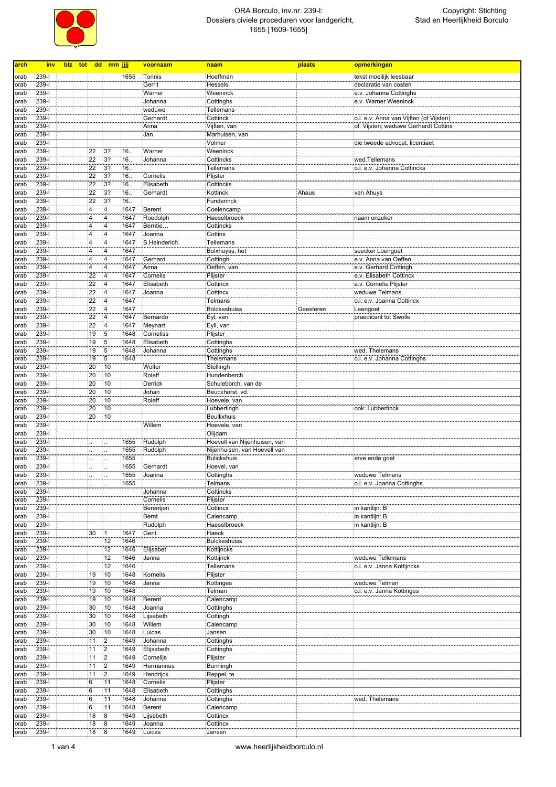

| arch | inv                |  |                         | blz tot dd mm jjjj      |              | voornaam            | naam                         | plaats    | opmerkingen                                |
|------|--------------------|--|-------------------------|-------------------------|--------------|---------------------|------------------------------|-----------|--------------------------------------------|
|      |                    |  |                         |                         |              |                     |                              |           |                                            |
| orab | 239-l              |  |                         |                         | 1655         | Tonnis              | Hoeffman                     |           | tekst moeilijk leesbaar                    |
| orab | $239-I$            |  |                         |                         |              | Gerrit              | Hessels                      |           | declaratie van costen                      |
| orab | $239 - 1$          |  |                         |                         |              | Warner              | Weeninck                     |           | e.v. Johanna Cottinghs                     |
| orab | 239-l              |  |                         |                         |              | Johanna             | Cottinghs                    |           | e.v. Warner Weeninck                       |
| orab | $239 - 1$          |  |                         |                         |              | weduwe              | Tellemans                    |           |                                            |
| orab | 239-l              |  |                         |                         |              | Gerhardt            | Cottinck                     |           | o.l. e.v. Anna van Vijften (of Vijsten)    |
| orab | 239-l              |  |                         |                         |              | Anna                | Vijften, van                 |           | of: Vijsten; weduwe Gerhardt Cottinx       |
| orab | 239-l              |  |                         |                         |              | Jan                 | Marhulsen, van               |           |                                            |
| orab | $239 - 1$          |  |                         |                         |              |                     | Volmer                       |           | die tweede advocat, licentiaet             |
| orab | 239-l              |  | 22                      | 3?                      | 16.          | Warner              | Weeninck                     |           |                                            |
| orab | 239-l              |  | 22                      | 3?                      | 16.          | Johanna             | Cottincks                    |           | wed.Tellemans                              |
| orab | $239 - 1$          |  | 22                      | 37                      | 16.          |                     | Tellemans                    |           | o.l. e.v. Johanna Cottincks                |
| orab | 239-l              |  | 22                      | 3?                      | 16.          | Cornelis            | Plijster                     |           |                                            |
| orab | 239-l              |  | 22                      | 3?                      | 16.          | Elisabeth           | Cottincks                    |           |                                            |
| orab | 239-l              |  | 22                      | 3 <sup>2</sup>          | 16.          | Gerhardt            | Kottinck                     | Ahaus     | van Ahuys                                  |
| orab | 239-l              |  | 22                      | 3 <sup>2</sup>          | 16.          |                     | Funderinck                   |           |                                            |
| orab | 239-l              |  | $\overline{\mathbf{4}}$ | $\overline{4}$          | 1647         | Berent              | Coelencamp                   |           |                                            |
| orab | 239-l              |  | $\overline{\mathbf{4}}$ | $\overline{4}$          | 1647         | Roedolph            | Haeselbroeck                 |           | naam onzeker                               |
| orab | 239-l              |  | 4                       | $\overline{4}$          | 1647         | Berntie             | Cottincks                    |           |                                            |
| orab | 239-l              |  | $\overline{\mathbf{4}}$ | $\overline{4}$          | 1647         | Joanna              | Cottinx                      |           |                                            |
| orab | $239 -$            |  | 4                       | $\overline{4}$          | 1647         | S.Heinderich        | Tellemans                    |           |                                            |
| orab | 239-l              |  | $\overline{4}$          | 4                       | 1647         |                     | Bolxhuyss, het               |           | seecker Loengoet                           |
| orab | 239-l              |  | $\overline{\mathbf{4}}$ | $\overline{4}$          | 1647         | Gerhard             | Cottingh                     |           | e.v. Anna van Oeffen                       |
| orab | 239-l              |  | $\overline{\mathbf{4}}$ | $\overline{4}$          | 1647         | Anna                | Oeffen, van                  |           | e.v. Gerhard Cottingh                      |
| orab | 239-l              |  | 22                      | 4                       | 1647         | Cornelis            | Plijster                     |           | e.v. Elisabeth Cottincx                    |
| orab | 239-l              |  | 22                      | $\overline{4}$          | 1647         | Elisabeth           | Cottincx                     |           | e.v. Cornelis Plijster                     |
| orab | 239-l              |  | 22                      | $\overline{\mathbf{4}}$ | 1647         | Joanna              | Cottincx                     |           | weduwe Telmans                             |
| orab | $239 - 1$          |  | 22                      | 4                       | 1647         |                     | <b>Telmans</b>               |           | o.l. e.v. Joanna Cottincx                  |
| orab | 239-l              |  | 22                      | 4                       | 1647         |                     | <b>Bolckeshuiss</b>          | Geesteren | Leengoet                                   |
| orab | 239-l              |  | 22                      | 4                       | 1647         | Bernardo            | Eyl, van                     |           | praedicant tot Swolle                      |
| orab | $239 - 1$          |  | 22                      | 4                       | 1647         | Meynart             | Eyll, van                    |           |                                            |
| orab | 239-l              |  | 19                      | 5                       | 1648         | Corneliss           | Plijster                     |           |                                            |
| orab | 239-l              |  | 19                      | 5                       | 1648         | Elisabeth           | Cottinghs                    |           |                                            |
| orab | $239 - 1$          |  | 19                      | $\overline{5}$          | 1648         | Johanna             | Cottinghs                    |           | wed. Thelemans                             |
| orab | $239 - 1$          |  | 19                      | $\overline{5}$          | 1648         |                     | Thelemans                    |           | o.l. e.v. Johanna Cottinghs                |
| orab | 239-l              |  | 20                      | 10                      |              | Wolter              | Stellingh                    |           |                                            |
| orab | $239 - 1$          |  | 20                      | 10                      |              | Roleff              | Hundenberch                  |           |                                            |
| orab | $239 - 1$          |  | 20                      | 10                      |              | Derrick             | Schuleborch, van de          |           |                                            |
| orab | 239-l              |  | 20                      | 10                      |              | Johan               | Beuckhorst, vd.              |           |                                            |
| orab | 239-l              |  | 20                      | 10                      |              | Roleff              | Hoevele, van                 |           |                                            |
| orab | $239 - 1$          |  | 20                      | 10                      |              |                     | Lubbertingh                  |           | ook: Lubbertinck                           |
| orab | 239-l              |  | 20                      | 10                      |              |                     | Beullixhuis                  |           |                                            |
| orab | 239-l              |  |                         |                         |              | Willem              | Hoevele, van                 |           |                                            |
| orab | 239-l              |  |                         |                         |              |                     | Olijdam                      |           |                                            |
| orab | 239-l              |  |                         |                         | 1655         | Rudolph             | Hoevell van Nijenhuisen, van |           |                                            |
| orab | 239-l              |  |                         |                         | 1655         | Rudolph             | Nijenhuisen, van Hoevell van |           |                                            |
| orab | $239 -$            |  |                         |                         | 1655         |                     | <b>Bulickshuis</b>           |           | erve ende goet                             |
| orab | 239-l              |  |                         |                         | 1655         | Gerhardt            | Hoevel, van                  |           |                                            |
| orab | 239-l              |  |                         |                         | 1655         | Joanna              | Cottinghs                    |           | weduwe Telmans                             |
| orab | $239 - 1$          |  | $\ddotsc$               | $\ddotsc$               | 1655         |                     | Telmans                      |           | o.l. e.v. Joanna Cottinghs                 |
| orab | $239-I$            |  |                         |                         |              | Johanna             | Cottincks                    |           |                                            |
| orab | 239-l              |  |                         |                         |              | Cornelis            | Plijster                     |           |                                            |
| orab | $239 - 1$          |  |                         |                         |              | Berentjen           | Cottincx                     |           | in kantlijn: B                             |
| orab | $239 - 1$          |  |                         |                         |              | Bernt               | Calencamp                    |           | in kantlijn: B                             |
| orab | $239 - 1$          |  |                         |                         |              | Rudolph             | Haeselbroeck                 |           | in kantlijn: B                             |
| orab | $239 - 1$          |  | 30                      | $\mathbf{1}$            | 1647         | Gerit               | Haeck                        |           |                                            |
| orab | $239 - 1$          |  |                         | 12                      | 1646         |                     | <b>Bulckeshuiss</b>          |           |                                            |
| orab | 239-l              |  |                         | 12                      | 1646         | Elijsabet           | Kottijncks                   |           |                                            |
| orab | 239-l<br>$239 - 1$ |  |                         | 12<br>12                | 1646<br>1646 | Janna               | Kottijnck                    |           | weduwe Tellemans                           |
| orab |                    |  |                         |                         |              |                     | Tellemans                    |           | o.l. e.v. Janna Kottijncks                 |
| orab | $239 - 1$          |  | 19                      | 10                      | 1648         | Kornelis            | Plijster                     |           |                                            |
| orab | 239-l<br>$239 - 1$ |  | 19                      | 10                      | 1648<br>1648 | Janna               | Kottinges                    |           | weduwe Telman<br>o.l. e.v. Janna Kottinges |
| orab |                    |  | 19                      | 10                      | 1648         |                     | Telman                       |           |                                            |
| orab | 239-l              |  | 19                      | 10                      |              | Berent              | Calencamp                    |           |                                            |
| orab | 239-l<br>$239 - 1$ |  | 30<br>30 <sup>2</sup>   | 10                      | 1648<br>1648 | Joanna<br>Lijsebeth | Cottinghs<br>Cottingh        |           |                                            |
| orab |                    |  |                         | 10                      |              |                     |                              |           |                                            |
| orab | $239 - 1$          |  | 30                      | 10                      | 1648         | Willem              | Calencamp                    |           |                                            |
| orab | 239-l              |  | 30                      | 10                      | 1648         | Luicas              | Jansen                       |           |                                            |
| orab | 239-l              |  | 11                      | $\overline{2}$          | 1649         | Johanna             | Cottinghs                    |           |                                            |
| orab | $239 - 1$          |  | 11                      | $\overline{2}$          | 1649         | Elijsabeth          | Cottinghs                    |           |                                            |
| orab | 239-l              |  | 11                      | $\overline{2}$          | 1649         | Cornelijs           | Plijster                     |           |                                            |
| orab | $239-I$            |  | 11                      | $\overline{2}$          | 1649         | Hermannus           | <b>Bunningh</b>              |           |                                            |
| orab | $239-I$            |  | 11                      | $\overline{2}$          | 1649         | Hendrijck           | Reppel, te                   |           |                                            |
| orab | 239-l              |  | $6\phantom{.}6$         | 11                      | 1648         | Cornelis            | Plijster                     |           |                                            |
| orab | 239-l              |  | $6\phantom{.}6$         | 11                      | 1648         | Elisabeth           | Cottinghs                    |           |                                            |
| orab | $239 - 1$          |  | 6                       | 11                      | 1648         | Johanna             | Cottinghs                    |           | wed. Thelemans                             |
| orab | 239-l              |  | $6\phantom{.}6$         | 11                      | 1648         | Berent              | Calencamp                    |           |                                            |
| orab | 239-l              |  | 18                      | 8                       | 1649         | Lijsebeth           | Cottincx                     |           |                                            |
| orab | $239 - 1$          |  | 18                      | $\overline{8}$          | 1649         | Joanna              | Cottincx                     |           |                                            |
| orab | $239 - 1$          |  | 18                      | 8                       | 1649         | Luicas              | Jansen                       |           |                                            |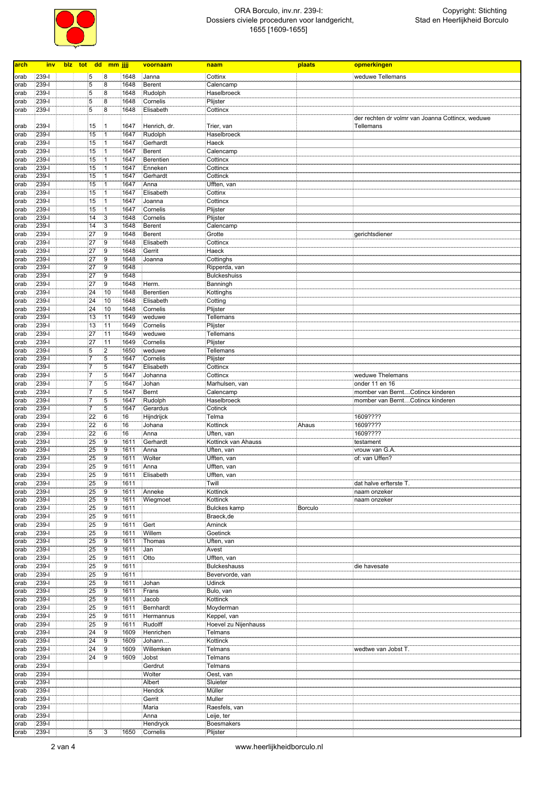

| arch         | <u>inv</u>         | blz tot dd mm jjjj |                     |              | voornaam             | naam                              | plaats         | opmerkingen                                      |
|--------------|--------------------|--------------------|---------------------|--------------|----------------------|-----------------------------------|----------------|--------------------------------------------------|
| orab         | 239-l              | 5                  | 8                   | 1648         | Janna                | Cottinx                           |                | weduwe Tellemans                                 |
| orab         | 239-l              | 5                  | 8                   | 1648         | Berent               | Calencamp                         |                |                                                  |
| orab         | 239-l              | 5                  | 8                   | 1648         | Rudolph              | Haselbroeck                       |                |                                                  |
| orab         | 239-l              | 5                  | 8                   | 1648         | Cornelis             | Plijster                          |                |                                                  |
| orab         | 239-l              | $\overline{5}$     | $\overline{8}$      | 1648         | Elisabeth            | Cottincx                          |                |                                                  |
|              |                    |                    |                     |              |                      |                                   |                | der rechten dr volmr van Joanna Cottincx, weduwe |
| orab         | 239-l              | 15                 | $\vert$ 1           | 1647         | Henrich, dr.         | Trier, van                        |                | Tellemans                                        |
| orab         | 239-l              | 15                 | 1                   | 1647         | Rudolph              | Haselbroeck                       |                |                                                  |
| orab         | $239-I$            | 15                 | $\vert$ 1           | 1647         | Gerhardt             | Haeck                             |                |                                                  |
| orab         | 239-l              | 15                 | $\vert$ 1           | 1647         | Berent               | Calencamp                         |                |                                                  |
| orab         | 239-l              | 15                 | 1                   | 1647         | Berentien            | Cottincx                          |                |                                                  |
| orab         | 239-l              | 15                 | 1                   | 1647         | Enneken              | Cottincx                          |                |                                                  |
| orab         | 239-l              | 15                 | 1                   | 1647         | Gerhardt             | Cottinck                          |                |                                                  |
| orab         | 239-l              | 15                 | $\overline{1}$      | 1647         | Anna                 | Ufften, van                       |                |                                                  |
| orab         | 239-l              | 15                 | $\vert$ 1           | 1647         | Elisabeth            | Cottinx                           |                |                                                  |
| orab         | $239 - 1$          | 15                 | $\vert$ 1           | 1647         | Joanna               | Cottincx                          |                |                                                  |
| orab<br>orab | 239-l<br>239-l     | 15<br>14           | 1<br>3              | 1647<br>1648 | Cornelis<br>Cornelis | Plijster<br>Plijster              |                |                                                  |
| orab         | 239-l              | 14                 | $\overline{3}$      | 1648         | <b>Berent</b>        | Calencamp                         |                |                                                  |
| orab         | 239-l              | 27                 | 9                   | 1648         | <b>Berent</b>        | Grotte                            |                | gerichtsdiener                                   |
| orab         | $239-I$            | 27                 | 9                   | 1648         | Elisabeth            | Cottincx                          |                |                                                  |
| orab         | $239 - 1$          | 27                 | 9                   | 1648         | Gerrit               | Haeck                             |                |                                                  |
| orab         | 239-l              | 27                 | 9                   | 1648         | Joanna               | Cottinghs                         |                |                                                  |
| orab         | 239-l              | 27                 | 9                   | 1648         |                      | Ripperda, van                     |                |                                                  |
| orab         | 239-l              | 27                 | $\overline{9}$      | 1648         |                      | <b>Bulckeshuiss</b>               |                |                                                  |
| orab         | 239-l              | 27                 | 9                   | 1648         | Herm.                | Banningh                          |                |                                                  |
| orab         | 239-l              | 24                 | 10                  | 1648         | Berentien            | Kottinghs                         |                |                                                  |
| orab         | 239-l              | 24                 | 10                  | 1648         | Elisabeth            | Cotting                           |                |                                                  |
| orab         | 239-l              | 24                 | 10                  | 1648         | Cornelis             | Plijster                          |                |                                                  |
| orab         | 239-l              | 13                 | 11                  | 1649         | weduwe               | <b>Tellemans</b>                  |                |                                                  |
| orab         | 239-l              | 13                 | 11                  | 1649         | Cornelis             | Plijster                          |                |                                                  |
| orab         | 239-l              | 27                 | 11                  | 1649         | weduwe               | Tellemans                         |                |                                                  |
| orab         | 239-l              | 27                 | 11                  | 1649         | Cornelis             | Plijster                          |                |                                                  |
| orab         | $239 - 1$          | 5                  | $\overline{2}$      | 1650         | weduwe               | Tellemans                         |                |                                                  |
| orab         | $239 - 1$          | $\overline{7}$     | 5                   | 1647         | Cornelis             | Plijster                          |                |                                                  |
| orab         | 239-l              | $\overline{7}$     | 5                   | 1647         | Elisabeth            | Cottincx                          |                |                                                  |
| orab         | 239-l              | $\overline{7}$     | 5                   | 1647         | Johanna              | Cottincx                          |                | weduwe Thelemans                                 |
| orab         | $239 - 1$          | $\overline{7}$     | $5\overline{5}$     | 1647         | Johan                | Marhulsen, van                    |                | onder 11 en 16                                   |
| orab         |                    |                    |                     |              |                      |                                   |                |                                                  |
|              | 239-l              | 7                  | 5                   | 1647         | Bernt                | Calencamp                         |                | momber van BerntCotincx kinderen                 |
| orab         | 239-l              | $\overline{7}$     | 5                   | 1647         | Rudolph              | Haselbroeck                       |                | momber van BerntCotincx kinderen                 |
| orab         | 239-l              | $\overline{7}$     | 5                   | 1647         | Gerardus             | Cotinck                           |                |                                                  |
| orab         | 239-l              | 22                 | 6                   | 16           | Hijndrijck           | Telma                             |                | 1609????                                         |
| orab         | 239-l              | 22                 | 6                   | 16           | Johana               | Kottinck                          | Ahaus          | 1609????                                         |
| orab         | 239-l              | $\overline{22}$    | 6                   | 16           | Anna                 | Uften, van                        |                | 1609????                                         |
| orab         | 239-l              | 25                 | 9                   | 1611         | Gerhardt             | Kottinck van Ahauss               |                | testament                                        |
| orab         | 239-l              | 25                 | 9                   | 1611         | Anna                 | Uften, van                        |                | vrouw van G.A.                                   |
| orab         | $239-I$            | 25                 | 9                   | 1611         | Wolter               | Ufften, van                       |                | of: van Uffen?                                   |
| orab         | 239-l              | 25                 | 9                   | 1611         | Anna                 | Ufften, van                       |                |                                                  |
| orab         | 239-l              | 25                 | 9                   | 1611         | Elisabeth            | Ufften, van                       |                |                                                  |
| orab         | $239 - 1$          | 25                 | $\overline{9}$      | 1611         |                      | Twill                             |                | dat halve erfterste T.                           |
| orab         | $239 - 1$          | 25                 | $\overline{9}$      | 1611         | Anneke               | Kottinck<br>Kottinck              |                | naam onzeker<br>naam onzeker                     |
| orab         | 239-1              | 25                 | $\overline{9}$      | 1611         | Wiegmoet             |                                   | <b>Borculo</b> |                                                  |
| orab<br>orab | 239-l<br>$239 - 1$ | 25<br>25           | $\overline{9}$<br>9 | 1611<br>1611 |                      | <b>Bulckes kamp</b><br>Braeck, de |                |                                                  |
| orab         | 239-1              | 25                 | $\overline{9}$      | 1611         | Gert                 | Arninck                           |                |                                                  |
| orab         | $239 - 1$          | 25                 | $\overline{9}$      | 1611         | Willem               | Goetinck                          |                |                                                  |
| orab         | $239 - 1$          | 25                 | $\overline{9}$      | 1611         | Thomas               | Uften, van                        |                |                                                  |
| orab         | 239-1              | 25                 | $\overline{9}$      | 1611         | Jan                  | Avest                             |                |                                                  |
| orab         | 239-1              | 25                 | 9                   | 1611         | Otto                 | Ufften, van                       |                |                                                  |
| orab         | $239 - 1$          | 25                 | $\overline{9}$      | 1611         |                      | <b>Bulckeshauss</b>               |                | die havesate                                     |
| orab         | 239-1              | 25                 | 9                   | 1611         |                      | Bevervorde, van                   |                |                                                  |
| orab         | 239-1              | 25                 | 9                   | 1611         | Johan                | <b>Udinck</b>                     |                |                                                  |
| orab         | $239 - 1$          | 25                 | 9                   | 1611         | Frans                | Bulo, van                         |                |                                                  |
| orab         | $239-I$            | 25                 | 9                   | 1611         | Jacob                | Kottinck                          |                |                                                  |
| orab         | 239-l              | 25                 | 9                   | 1611         | Bernhardt            | Moyderman                         |                |                                                  |
| orab         | $239 - 1$          | 25                 | 9                   | 1611         | Hermannus            | Keppel, van                       |                |                                                  |
| orab         | $239-I$            | 25                 | 9                   | 1611         | Rudolff              | Hoevel zu Nijenhauss              |                |                                                  |
| orab         | 239-l              | 24                 | 9                   | 1609         | Henrichen            | <b>Telmans</b>                    |                |                                                  |
| orab         | $239 - 1$          | $\overline{24}$    | $\overline{9}$      | 1609         | Johann               | Kottinck                          |                |                                                  |
| orab         | $239 - 1$          | 24                 | 9                   | 1609         | Willemken            | <b>Telmans</b>                    |                | wedtwe van Jobst T.                              |
| orab         | 239-1              | 24                 | 9                   | 1609         | Jobst                | Telmans                           |                |                                                  |
| orab         | $239 - 1$          |                    |                     |              | Gerdrut              | <b>Telmans</b>                    |                |                                                  |
| orab         | $239 - 1$          |                    |                     |              | Wolter               | Oest, van                         |                |                                                  |
| orab         | 239-l              |                    |                     |              | Albert               | Sluieter                          |                |                                                  |
| orab         | 239-1              |                    |                     |              | Hendck               | Müller                            |                |                                                  |
| orab         | $239 - 1$          |                    |                     |              | Gerrit               | <b>Muller</b>                     |                |                                                  |
| orab         | 239-l              |                    |                     |              | Maria                | Raesfels, van                     |                |                                                  |
| orab<br>orab | 239-l<br>$239 - 1$ |                    |                     |              | Anna<br>Hendryck     | Leije, ter<br><b>Boesmakers</b>   |                |                                                  |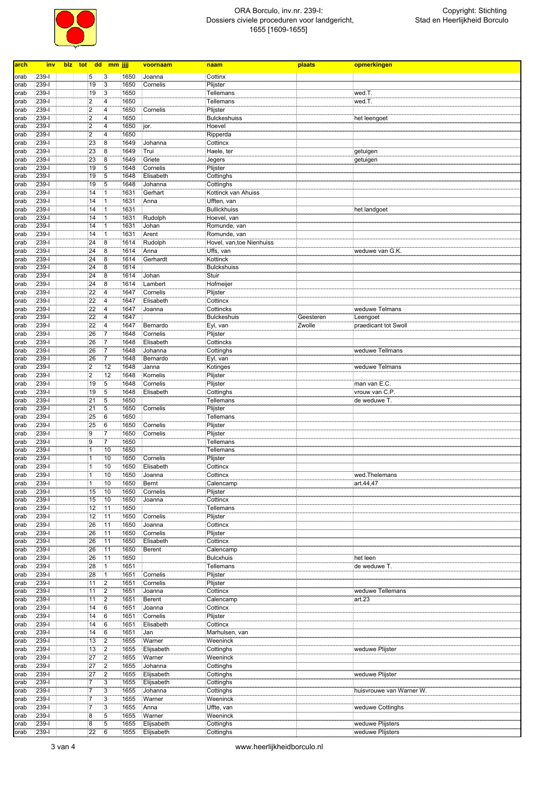

| arch | inv       | blz tot dd mm jjjj      |                         |      | voornaam      | naam                     | plaats    | opmerkingen                      |
|------|-----------|-------------------------|-------------------------|------|---------------|--------------------------|-----------|----------------------------------|
|      |           |                         |                         |      |               |                          |           |                                  |
| orab | 239-l     | 5                       | 3                       | 1650 | Joanna        | Cottinx                  |           |                                  |
| orab | $239 - 1$ | 19                      | $\overline{3}$          | 1650 | Cornelis      | Plijster                 |           |                                  |
| orab | $239 - 1$ | 19                      | $\overline{3}$          | 1650 |               | <b>Tellemans</b>         |           | wed.T.                           |
| orab | 239-l     | $\overline{2}$          | $\overline{\mathbf{4}}$ | 1650 |               | <b>Tellemans</b>         |           | wed.T.                           |
| orab | $239 - 1$ | $\overline{\mathbf{c}}$ | $\overline{4}$          | 1650 | Cornelis      | Plijster                 |           |                                  |
| orab | $239 - 1$ | $\overline{2}$          | 4                       | 1650 |               | <b>Bulckeshuiss</b>      |           | het leengoet                     |
| orab | 239-l     | $\overline{c}$          | $\overline{4}$          | 1650 | jor.          | Hoevel                   |           |                                  |
| orab | 239-l     | $\overline{c}$          | $\overline{\mathbf{4}}$ | 1650 |               | Ripperda                 |           |                                  |
| orab | $239-I$   | 23                      | $\overline{8}$          | 1649 | Johanna       | Cottincx                 |           |                                  |
| orab | 239-l     | 23                      | $\boldsymbol{8}$        | 1649 | Trui          | Haele, ter               |           | getuigen                         |
| orab | 239-l     | 23                      | 8                       | 1649 | Griete        | Jegers                   |           | getuigen                         |
| orab | $239-I$   | 19                      | $5\overline{5}$         | 1648 | Cornelis      | Plijster                 |           |                                  |
| orab | 239-l     | 19                      | $5\phantom{.0}$         | 1648 | Elisabeth     | Cottinghs                |           |                                  |
| orab | 239-l     | 19                      | $5\phantom{.0}$         | 1648 | Johanna       | Cottinghs                |           |                                  |
| orab | $239 - 1$ | 14                      | 1                       | 1631 | Gerhart       | Kottinck van Ahuiss      |           |                                  |
| orab | $239 - 1$ | 14                      | $\vert$ 1               | 1631 | Anna          | Ufften, van              |           |                                  |
| orab | 239-l     | 14                      | $\vert$ 1               | 1631 |               | <b>Bullickhuiss</b>      |           | het landgoet                     |
| orab | $239 - 1$ | 14                      | $\vert$ 1               | 1631 | Rudolph       | Hoevel, van              |           |                                  |
| orab | $239 - 1$ | 14                      | $\vert$ 1               | 1631 | Johan         | Romunde, van             |           |                                  |
| orab | 239-l     | 14                      | $\vert$ 1               | 1631 | Arent         | Romunde, van             |           |                                  |
| orab | $239-I$   | 24                      | 8                       | 1614 | Rudolph       | Hovel, van,toe Nienhuiss |           |                                  |
| orab | $239-I$   | 24                      | $\overline{8}$          | 1614 | Anna          | Uffs, van                |           | weduwe van G.K.                  |
| orab | 239-l     | 24                      | 8                       | 1614 | Gerhardt      | Kottinck                 |           |                                  |
| orab | 239-l     | 24                      | 8                       | 1614 |               | <b>Bulckshuiss</b>       |           |                                  |
| orab | $239-I$   | 24                      | 8                       | 1614 | Johan         | Stuir                    |           |                                  |
| orab | 239-l     | 24                      | 8                       | 1614 | Lambert       | Hofmeijer                |           |                                  |
| orab | 239-l     | 22                      | $\overline{\mathbf{4}}$ | 1647 | Cornelis      | Plijster                 |           |                                  |
| orab | $239 - 1$ | 22                      | $\overline{4}$          | 1647 | Elisabeth     | Cottincx                 |           |                                  |
| orab | 239-l     | 22                      | $\overline{\mathbf{4}}$ | 1647 | Joanna        | Cottincks                |           | weduwe Telmans                   |
| orab | 239-l     | 22                      | $\overline{4}$          | 1647 |               | <b>Bulckeshuis</b>       | Geesteren |                                  |
|      | $239 - 1$ | 22                      | $\overline{4}$          | 1647 | Bernardo      | Eyl, van                 | Zwolle    | Leengoet<br>praedicant tot Swoll |
| orab |           |                         | $\overline{7}$          |      |               |                          |           |                                  |
| orab | 239-l     | 26                      |                         | 1648 | Cornelis      | Plijster                 |           |                                  |
| orab | 239-l     | 26                      | 7                       | 1648 | Elisabeth     | Cottincks                |           |                                  |
| orab | $239 - 1$ | 26                      | $\overline{7}$          | 1648 | Johanna       | Cottinghs                |           | weduwe Tellmans                  |
| orab | $239 - 1$ | 26                      | $\overline{7}$          | 1648 | Bernardo      | Eyl, van                 |           |                                  |
| orab | 239-l     | $\boldsymbol{2}$        | 12                      | 1648 | Janna         | Kotinges                 |           | weduwe Telmans                   |
| orab | $239-I$   | $\overline{2}$          | 12                      | 1648 | Kornelis      | Plijster                 |           |                                  |
| orab | $239 - 1$ | 19                      | $\overline{5}$          | 1648 | Cornelis      | Plijster                 |           | man van E.C.                     |
| orab | 239-l     | 19                      | $5\overline{5}$         | 1648 | Elisabeth     | Cottinghs                |           | vrouw van C.P.                   |
| orab | 239-l     | 21                      | 5                       | 1650 |               | Tellemans                |           | de weduwe T.                     |
| orab | $239 - 1$ | $\overline{21}$         | $\overline{5}$          | 1650 | Cornelis      | Plijster                 |           |                                  |
| orab | 239-l     | 25                      | 6                       | 1650 |               | <b>Tellemans</b>         |           |                                  |
| orab | 239-l     | 25                      | 6                       | 1650 | Cornelis      | Plijster                 |           |                                  |
| orab | 239-l     | 9                       | $\overline{7}$          | 1650 | Cornelis      | Plijster                 |           |                                  |
| orab | 239-l     | 9                       | $\overline{7}$          | 1650 |               | <b>Tellemans</b>         |           |                                  |
| orab | 239-l     | $\mathbf{1}$            | 10                      | 1650 |               | Tellemans                |           |                                  |
| orab | $239-I$   | 1                       | 10                      | 1650 | Cornelis      | Plijster                 |           |                                  |
| orab | 239-l     | $\mathbf{1}$            | 10                      | 1650 | Elisabeth     | Cottincx                 |           |                                  |
| orab | 239-l     | $\overline{1}$          | 10                      | 1650 | Joanna        | Cottincx                 |           | wed.Thelemans                    |
| orab | $239 - 1$ | $\mathbf{1}$            | 10                      | 1650 | Bernt         | Calencamp                |           | art.44,47                        |
| orab | $239 - 1$ | 15                      | 10                      | 1650 | Cornelis      | Plijster                 |           |                                  |
| orab | 239-l     | 15                      | 10                      | 1650 | Joanna        | Cottincx                 |           |                                  |
| orab | $239-I$   | 12                      | 11                      | 1650 |               | Tellemans                |           |                                  |
| orab | $239 - 1$ | $\overline{12}$         | 11                      | 1650 | Cornelis      | Plijster                 |           |                                  |
| orab | 239-l     | 26                      | 11                      | 1650 | Joanna        | Cottincx                 |           |                                  |
| orab | $239 - 1$ | 26                      | 11                      | 1650 | Cornelis      | Plijster                 |           |                                  |
| orab | $239 - 1$ | 26                      | 11                      | 1650 | Elisabeth     | Cottincx                 |           |                                  |
|      | 239-l     | 26                      | 11                      | 1650 |               |                          |           |                                  |
| orab |           |                         |                         |      | <b>Berent</b> | Calencamp                |           |                                  |
| orab | 239-l     | 26                      | 11                      | 1650 |               | <b>Bulcxhuis</b>         |           | het leen                         |
| orab | $239 - 1$ | 28                      | $\overline{1}$          | 1651 |               | Tellemans                |           | de weduwe T.                     |
| orab | 239-l     | 28                      | $\overline{1}$          | 1651 | Cornelis      | Plijster                 |           |                                  |
| orab | 239-l     | 11                      | $ 2\rangle$             | 1651 | Cornelis      | Plijster                 |           |                                  |
| orab | $239-I$   | 11                      | $ 2\rangle$             | 1651 | Joanna        | Cottincx                 |           | weduwe Tellemans                 |
| orab | 239-l     | 11                      | $\overline{2}$          | 1651 | <b>Berent</b> | Calencamp                |           | art.23                           |
| orab | 239-l     | 14                      | 6                       | 1651 | Joanna        | Cottincx                 |           |                                  |
| orab | $239 - 1$ | 14                      | 6                       | 1651 | Cornelis      | Plijster                 |           |                                  |
| orab | $239-I$   | 14                      | 6                       | 1651 | Elisabeth     | Cottincx                 |           |                                  |
| orab | 239-l     | 14                      | 6                       | 1651 | Jan           | Marhulsen, van           |           |                                  |
| orab | 239-l     | 13                      | $\overline{2}$          | 1655 | Warner        | Weeninck                 |           |                                  |
| orab | $239 - 1$ | 13                      | $\overline{2}$          | 1655 | Elijsabeth    | Cottinghs                |           | weduwe Plijster                  |
| orab | 239-l     | 27                      | 2                       | 1655 | Warner        | Weeninck                 |           |                                  |
| orab | $239 - 1$ | 27                      | $ 2\rangle$             | 1655 | Johanna       | Cottinghs                |           |                                  |
| orab | $239 - 1$ | 27                      | $\overline{2}$          | 1655 | Elijsabeth    | Cottinghs                |           | weduwe Plijster                  |
| orab | 239-l     | 7                       | 3                       | 1655 | Elijsabeth    | Cottinghs                |           |                                  |
| orab | 239-l     | 7                       | 3                       | 1655 | Johanna       | Cottinghs                |           | huisvrouwe van Warner W.         |
| orab | $239 - 1$ | 7                       | 3                       | 1655 | Warner        | Weeninck                 |           |                                  |
| orab | 239-l     | $\overline{7}$          | 3                       | 1655 | Anna          | Uffte, van               |           | weduwe Cottinghs                 |
| orab | $239-I$   | 8                       | 5                       | 1655 | Warner        | Weeninck                 |           |                                  |
| orab | $239 - 1$ | $\overline{8}$          | $\overline{5}$          | 1655 | Elijsabeth    | Cottinghs                |           | weduwe Plijsters                 |
|      |           |                         | 6                       |      |               |                          |           |                                  |
| orab | $239-I$   | 22                      |                         | 1655 | Elijsabeth    | Cottinghs                |           | weduwe Plijsters                 |